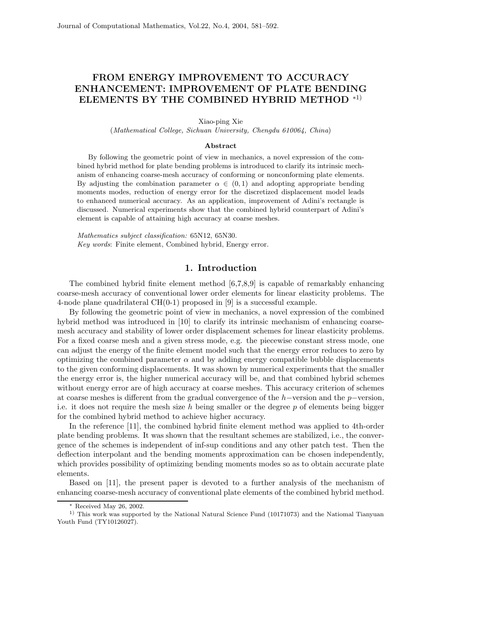## **FROM ENERGY IMPROVEMENT TO ACCURACY ENHANCEMENT: IMPROVEMENT OF PLATE BENDING ELEMENTS BY THE COMBINED HYBRID METHOD** <sup>∗</sup>1)

Xiao-ping Xie

(*Mathematical College, Sichuan University, Chengdu 610064, China*)

## **Abstract**

By following the geometric point of view in mechanics, a novel expression of the combined hybrid method for plate bending problems is introduced to clarify its intrinsic mechanism of enhancing coarse-mesh accuracy of conforming or nonconforming plate elements. By adjusting the combination parameter  $\alpha \in (0,1)$  and adopting appropriate bending moments modes, reduction of energy error for the discretized displacement model leads to enhanced numerical accuracy. As an application, improvement of Adini's rectangle is discussed. Numerical experiments show that the combined hybrid counterpart of Adini's element is capable of attaining high accuracy at coarse meshes.

*Mathematics subject classification:* 65N12, 65N30. *Key words*: Finite element, Combined hybrid, Energy error.

## **1. Introduction**

The combined hybrid finite element method [6,7,8,9] is capable of remarkably enhancing coarse-mesh accuracy of conventional lower order elements for linear elasticity problems. The 4-node plane quadrilateral CH(0-1) proposed in [9] is a successful example.

By following the geometric point of view in mechanics, a novel expression of the combined hybrid method was introduced in [10] to clarify its intrinsic mechanism of enhancing coarsemesh accuracy and stability of lower order displacement schemes for linear elasticity problems. For a fixed coarse mesh and a given stress mode, e.g. the piecewise constant stress mode, one can adjust the energy of the finite element model such that the energy error reduces to zero by optimizing the combined parameter  $\alpha$  and by adding energy compatible bubble displacements to the given conforming displacements. It was shown by numerical experiments that the smaller the energy error is, the higher numerical accuracy will be, and that combined hybrid schemes without energy error are of high accuracy at coarse meshes. This accuracy criterion of schemes at coarse meshes is different from the gradual convergence of the h−version and the p−version, i.e. it does not require the mesh size h being smaller or the degree  $p$  of elements being bigger for the combined hybrid method to achieve higher accuracy.

In the reference [11], the combined hybrid finite element method was applied to 4th-order plate bending problems. It was shown that the resultant schemes are stabilized, i.e., the convergence of the schemes is independent of inf-sup conditions and any other patch test. Then the deflection interpolant and the bending moments approximation can be chosen independently, which provides possibility of optimizing bending moments modes so as to obtain accurate plate elements.

Based on [11], the present paper is devoted to a further analysis of the mechanism of enhancing coarse-mesh accuracy of conventional plate elements of the combined hybrid method.

<sup>∗</sup> Received May 26, 2002.

<sup>&</sup>lt;sup>1)</sup> This work was supported by the National Natural Science Fund (10171073) and the National Tianyuan Youth Fund (TY10126027).